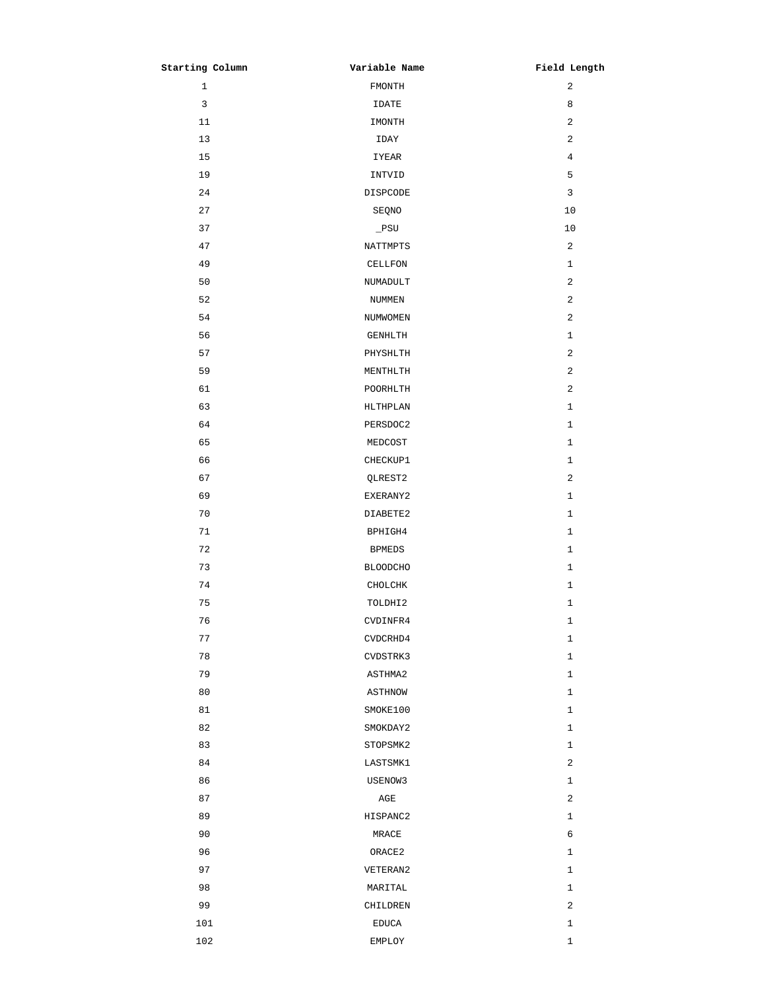| Starting Column | Variable Name   | Field Length   |
|-----------------|-----------------|----------------|
| $\mathbf{1}$    | FMONTH          | 2              |
| $\mathbf{3}$    | IDATE           | 8              |
| 11              | IMONTH          | 2              |
| 13              | IDAY            | 2              |
| 15              | IYEAR           | $\overline{4}$ |
| 19              | INTVID          | 5              |
| 24              | DISPCODE        | 3              |
| 27              | SEQNO           | 10             |
| 37              | $\_$ PSU        | $10$           |
| 47              | NATTMPTS        | 2              |
| 49              | CELLFON         | $\mathbf{1}$   |
| 50              | NUMADULT        | 2              |
| 52              | NUMMEN          | 2              |
| 54              | NUMWOMEN        | 2              |
| 56              | GENHLTH         | $\mathbf{1}$   |
| 57              | PHYSHLTH        | $\overline{c}$ |
| 59              | MENTHLTH        | $\overline{c}$ |
| 61              | POORHLTH        | 2              |
| 63              | HLTHPLAN        | $\mathbf{1}$   |
| 64              | PERSDOC2        | $\mathbf{1}$   |
| 65              | MEDCOST         | $\mathbf{1}$   |
| 66              | CHECKUP1        | $\mathbf{1}$   |
| 67              | QLREST2         | 2              |
| 69              | EXERANY2        | $\mathbf{1}$   |
| 70              | DIABETE2        | $\mathbf{1}$   |
| 71              | BPHIGH4         | $\mathbf{1}$   |
| 72              | <b>BPMEDS</b>   | $\mathbf{1}$   |
| 73              | <b>BLOODCHO</b> | $\mathbf{1}$   |
| 74              | CHOLCHK         | $\mathbf{1}$   |
| 75              | TOLDHI2         | $\mathbf{1}$   |
| 76              | CVDINFR4        | $\mathbf{1}$   |
| 77              | CVDCRHD4        | $\mathbf{1}$   |
| 78              | CVDSTRK3        | $\mathbf{1}$   |
| 79              | ASTHMA2         | $\mathbf{1}$   |
| 80              | ASTHNOW         | $\mathbf{1}$   |
| 81              | SMOKE100        | $\mathbf{1}$   |
| 82              | SMOKDAY2        | $\mathbf{1}$   |
| 83              | STOPSMK2        | $\mathbf{1}$   |
| 84              | LASTSMK1        | 2              |
| 86              | USENOW3         | $\mathbf{1}$   |
| 87              | AGE             | 2              |
| 89              | HISPANC2        | $\mathbf{1}$   |
| 90              | MRACE           | 6              |
| 96              | ORACE2          | $\mathbf{1}$   |
| 97              | VETERAN2        | $\mathbf{1}$   |
| 98              | MARITAL         | $\mathbf{1}$   |
| 99              | CHILDREN        | 2              |
| 101             | <b>EDUCA</b>    | $\mathbf{1}$   |
| 102             | EMPLOY          | $\mathbf{1}$   |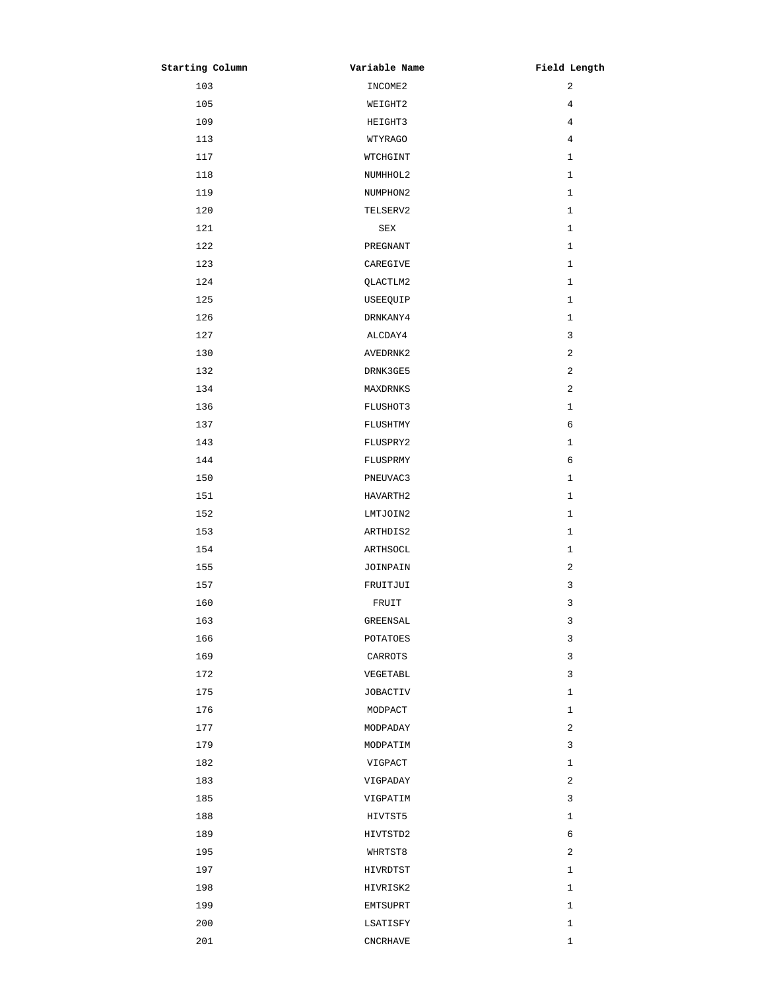| Starting Column | Variable Name   | Field Length   |
|-----------------|-----------------|----------------|
| 103             | INCOME2         | $\overline{a}$ |
| 105             | WEIGHT2         | 4              |
| 109             | HEIGHT3         | 4              |
| 113             | WTYRAGO         | 4              |
| 117             | WTCHGINT        | $\mathbf{1}$   |
| 118             | NUMHHOL2        | 1              |
| 119             | NUMPHON2        | $\mathbf{1}$   |
| 120             | TELSERV2        | 1              |
| 121             | SEX             | $\mathbf{1}$   |
| 122             | PREGNANT        | $\mathbf{1}$   |
| 123             | CAREGIVE        | $\mathbf{1}$   |
| 124             | QLACTLM2        | $\mathbf{1}$   |
| 125             | USEEQUIP        | $\mathbf{1}$   |
| 126             | DRNKANY4        | $\mathbf{1}$   |
| 127             | ALCDAY4         | 3              |
| 130             | AVEDRNK2        | 2              |
| 132             | DRNK3GE5        | 2              |
| 134             | MAXDRNKS        | 2              |
| 136             | FLUSHOT3        | $\mathbf{1}$   |
| 137             | FLUSHTMY        | 6              |
| 143             | FLUSPRY2        | $\mathbf{1}$   |
| 144             | FLUSPRMY        | 6              |
| 150             | PNEUVAC3        | $\mathbf{1}$   |
| 151             | HAVARTH2        | $\mathbf{1}$   |
| 152             | LMTJOIN2        | $\mathbf{1}$   |
| 153             | ARTHDIS2        | $\mathbf{1}$   |
| 154             | ARTHSOCL        | $\mathbf{1}$   |
| 155             | JOINPAIN        | 2              |
| 157             | FRUITJUI        | 3              |
| 160             | FRUIT           | 3              |
| 163             | GREENSAL        | 3              |
| 166             | POTATOES        | 3              |
| 169             | CARROTS         | 3              |
| 172             | VEGETABL        | 3              |
| 175             | <b>JOBACTIV</b> | $\mathbf{1}$   |
| 176             | MODPACT         | $\mathbf{1}$   |
| 177             | MODPADAY        | 2              |
| 179             | MODPATIM        | 3              |
| 182             | VIGPACT         | $\mathbf{1}$   |
| 183             | VIGPADAY        | 2              |
| 185             | VIGPATIM        | 3              |
| 188             | HIVTST5         | $\mathbf{1}$   |
| 189             | HIVTSTD2        | 6              |
| 195             | WHRTST8         | 2              |
| 197             | HIVRDTST        | $\mathbf{1}$   |
| 198             | HIVRISK2        | $\mathbf{1}$   |
| 199             | EMTSUPRT        | $\mathbf{1}$   |
| 200             | LSATISFY        | $\mathbf{1}$   |
| 201             | <b>CNCRHAVE</b> | $\mathbf{1}$   |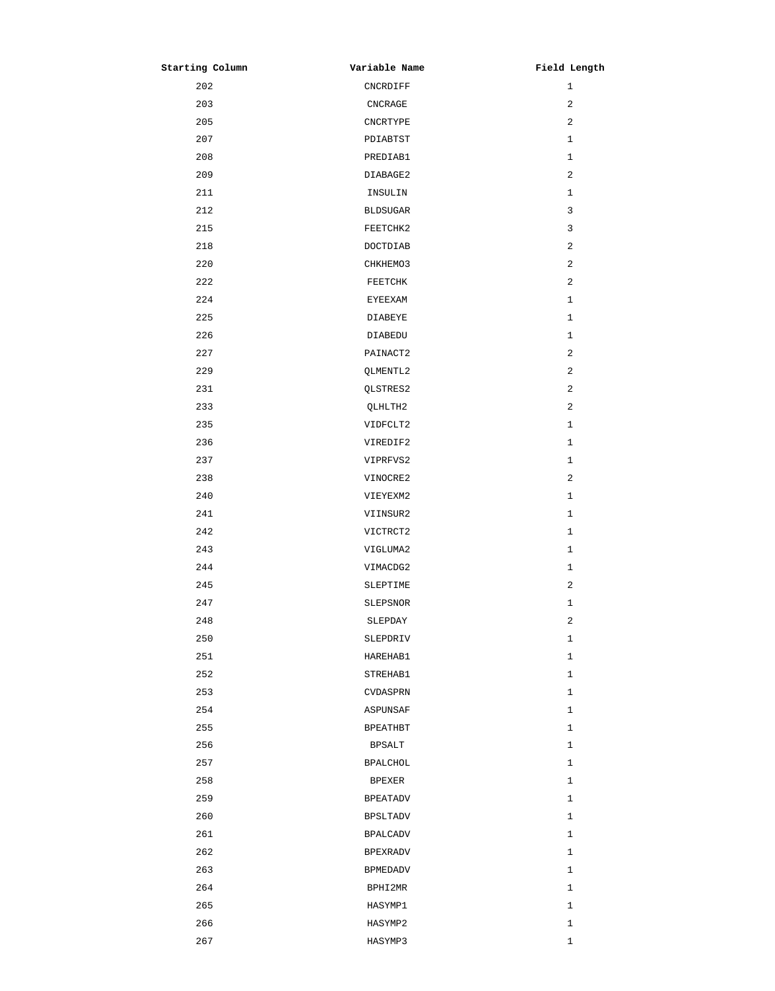| Starting Column | Variable Name   | Field Length   |
|-----------------|-----------------|----------------|
| 202             | CNCRDIFF        | 1              |
| 203             | CNCRAGE         | 2              |
| 205             | <b>CNCRTYPE</b> | 2              |
| 207             | PDIABTST        | 1              |
| 208             | PREDIAB1        | $\mathbf{1}$   |
| 209             | DIABAGE2        | 2              |
| 211             | INSULIN         | $\mathbf 1$    |
| 212             | <b>BLDSUGAR</b> | 3              |
| 215             | FEETCHK2        | 3              |
| 218             | DOCTDIAB        | 2              |
| 220             | CHKHEMO3        | 2              |
| 222             | FEETCHK         | $\overline{c}$ |
| 224             | <b>EYEEXAM</b>  | 1              |
| 225             | <b>DIABEYE</b>  | $\mathbf 1$    |
| 226             | DIABEDU         | $\mathbf{1}$   |
| 227             | PAINACT2        | $\overline{c}$ |
| 229             | QLMENTL2        | 2              |
| 231             | QLSTRES2        | 2              |
| 233             | QLHLTH2         | 2              |
| 235             | VIDFCLT2        | 1              |
| 236             | VIREDIF2        | 1              |
| 237             | VIPRFVS2        | 1              |
| 238             | VINOCRE2        | 2              |
| 240             | VIEYEXM2        | 1              |
| 241             | VIINSUR2        | 1              |
| 242             | VICTRCT2        | 1              |
| 243             | VIGLUMA2        | $\mathbf{1}$   |
| 244             | VIMACDG2        | 1              |
| 245             | SLEPTIME        | 2              |
| 247             | SLEPSNOR        | 1              |
| 248             | SLEPDAY         | 2              |
| 250             | SLEPDRIV        | 1              |
| 251             | HAREHAB1        | 1              |
| 252             | STREHAB1        | 1              |
| 253             | CVDASPRN        | 1              |
| 254             | ASPUNSAF        | 1              |
| 255             | <b>BPEATHBT</b> | 1              |
| 256             | <b>BPSALT</b>   | 1              |
| 257             | <b>BPALCHOL</b> | 1              |
| 258             | <b>BPEXER</b>   | 1              |
| 259             | <b>BPEATADV</b> | 1              |
| 260             | <b>BPSLTADV</b> | $\mathbf 1$    |
| 261             | <b>BPALCADV</b> | 1              |
| 262             | <b>BPEXRADV</b> | 1              |
| 263             | <b>BPMEDADV</b> | 1              |
| 264             | BPHI2MR         | 1              |
| 265             | HASYMP1         | 1              |
| 266             | HASYMP2         | 1              |
| 267             | HASYMP3         | $\mathbf 1$    |
|                 |                 |                |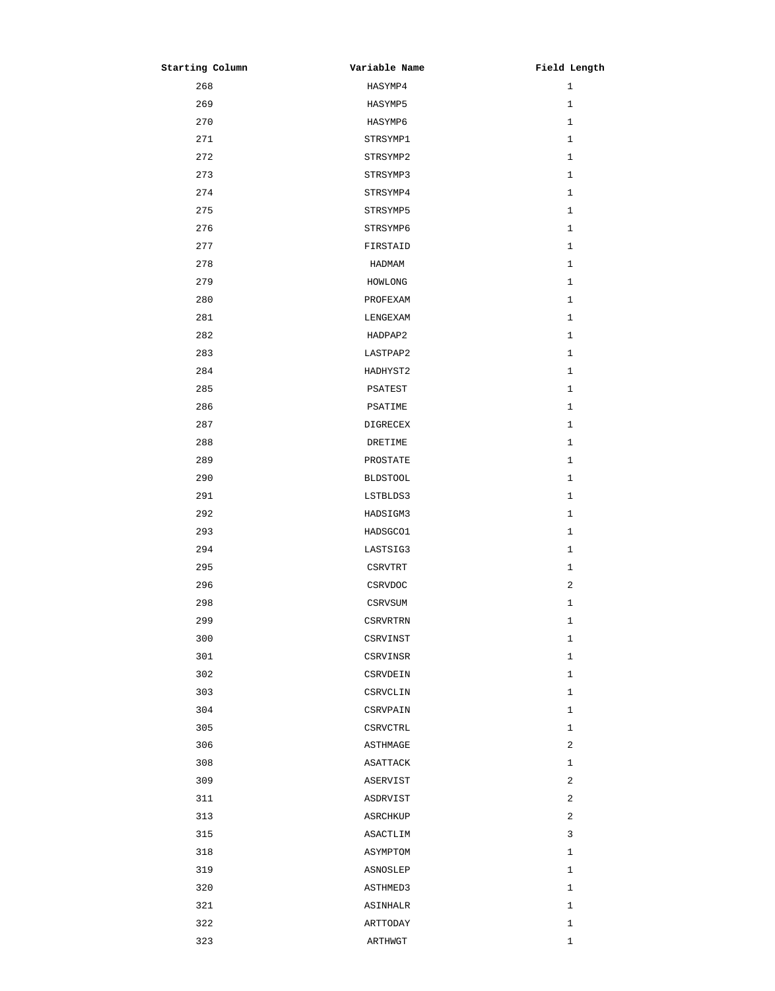| Starting Column | Variable Name   | Field Length |
|-----------------|-----------------|--------------|
| 268             | HASYMP4         | $\mathbf{1}$ |
| 269             | HASYMP5         | $\mathbf{1}$ |
| 270             | HASYMP6         | $\mathbf{1}$ |
| 271             | STRSYMP1        | $\mathbf{1}$ |
| 272             | STRSYMP2        | $\mathbf{1}$ |
| 273             | STRSYMP3        | $\mathbf{1}$ |
| 274             | STRSYMP4        | $\mathbf{1}$ |
| 275             | STRSYMP5        | $\mathbf{1}$ |
| 276             | STRSYMP6        | $\mathbf{1}$ |
| 277             | FIRSTAID        | $\mathbf{1}$ |
| 278             | HADMAM          | $\mathbf{1}$ |
| 279             | HOMLONG         | $\mathbf{1}$ |
| 280             | PROFEXAM        | $\mathbf{1}$ |
| 281             | LENGEXAM        | $\mathbf{1}$ |
| 282             | HADPAP2         | $\mathbf{1}$ |
| 283             | LASTPAP2        | $\mathbf{1}$ |
| 284             | HADHYST2        | $\mathbf{1}$ |
| 285             | PSATEST         | $\mathbf{1}$ |
| 286             | PSATIME         | $\mathbf{1}$ |
| 287             | DIGRECEX        | $\mathbf{1}$ |
| 288             | DRETIME         | $\mathbf{1}$ |
| 289             | PROSTATE        | $\mathbf{1}$ |
| 290             | <b>BLDSTOOL</b> | $\mathbf{1}$ |
| 291             | LSTBLDS3        | $\mathbf{1}$ |
| 292             | HADSIGM3        | $\mathbf{1}$ |
| 293             | HADSGC01        | 1            |
| 294             | LASTSIG3        | $\mathbf{1}$ |
| 295             | CSRVTRT         | $\mathbf{1}$ |
| 296             | CSRVDOC         | 2            |
| 298             | CSRVSUM         | 1            |
| 299             | <b>CSRVRTRN</b> | $\mathbf{1}$ |
| 300             | CSRVINST        | $1\,$        |
| 301             | CSRVINSR        | 1            |
| 302             | CSRVDEIN        | $\mathbf{1}$ |
| 303             | CSRVCLIN        | 1            |
| 304             | CSRVPAIN        | $1\,$        |
| 305             | CSRVCTRL        | $1\,$        |
| 306             | ASTHMAGE        | 2            |
| 308             | ASATTACK        | $1\,$        |
| 309             | ASERVIST        | 2            |
| 311             | ASDRVIST        | 2            |
| 313             | ASRCHKUP        | 2            |
| 315             | ASACTLIM        | 3            |
| 318             | ASYMPTOM        | 1            |
| 319             | ASNOSLEP        | 1            |
| 320             | ASTHMED3        | $\mathbf{1}$ |
| 321             | ASINHALR        | 1            |
| 322             | ARTTODAY        | 1            |
| 323             | ARTHWGT         | $\mathbf 1$  |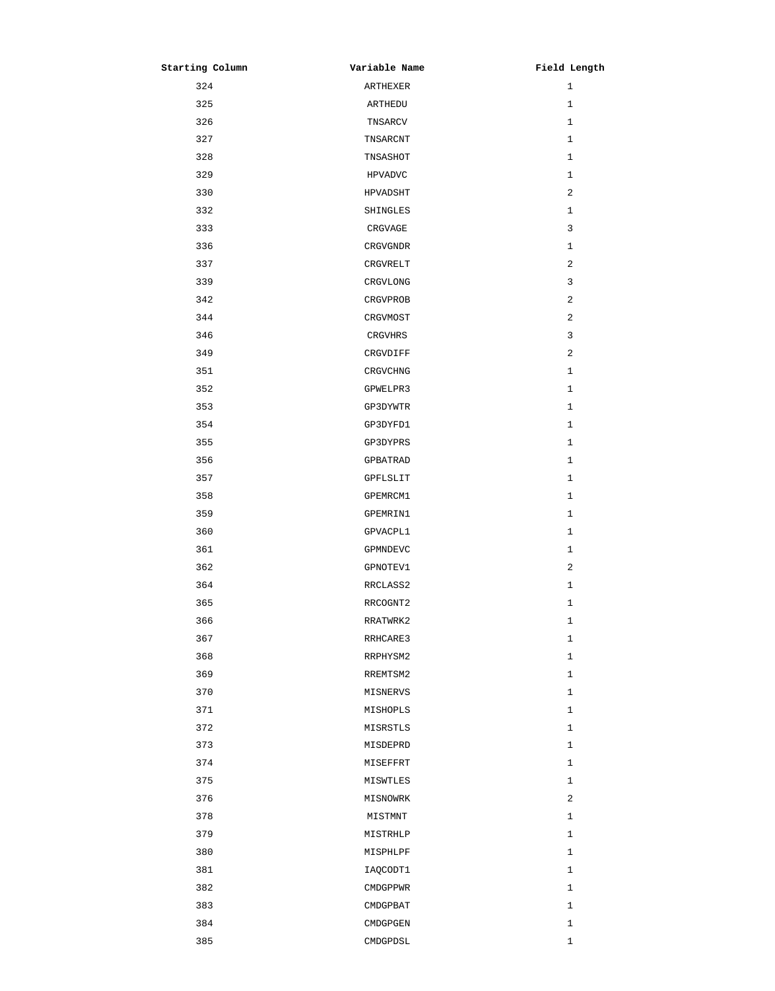| Starting Column | Variable Name  | Field Length |
|-----------------|----------------|--------------|
| 324             | ARTHEXER       | $\mathbf{1}$ |
| 325             | ARTHEDU        | 1            |
| 326             | TNSARCV        | $\mathbf{1}$ |
| 327             | TNSARCNT       | 1            |
| 328             | TNSASHOT       | $\mathbf{1}$ |
| 329             | <b>HPVADVC</b> | $\mathbf{1}$ |
| 330             | HPVADSHT       | 2            |
| 332             | SHINGLES       | 1            |
| 333             | CRGVAGE        | 3            |
| 336             | CRGVGNDR       | 1            |
| 337             | CRGVRELT       | 2            |
| 339             | CRGVLONG       | 3            |
| 342             | CRGVPROB       | 2            |
| 344             | CRGVMOST       | 2            |
| 346             | CRGVHRS        | 3            |
| 349             | CRGVDIFF       | 2            |
| 351             | CRGVCHNG       | $\mathbf{1}$ |
| 352             | GPWELPR3       | $\mathbf{1}$ |
| 353             | GP3DYWTR       | $\mathbf{1}$ |
| 354             | GP3DYFD1       | $\mathbf{1}$ |
| 355             | GP3DYPRS       | $\mathbf{1}$ |
| 356             | GPBATRAD       | $\mathbf{1}$ |
| 357             | GPFLSLIT       | 1            |
| 358             | GPEMRCM1       | $\mathbf{1}$ |
| 359             | GPEMRIN1       | 1            |
| 360             | GPVACPL1       | $\mathbf{1}$ |
| 361             | GPMNDEVC       | 1            |
| 362             | GPNOTEV1       | 2            |
| 364             | RRCLASS2       | $\mathbf{1}$ |
| 365             | RRCOGNT2       | 1            |
| 366             | RRATWRK2       | $\mathbf{1}$ |
| 367             | RRHCARE3       | $\mathbf{1}$ |
| 368             | RRPHYSM2       | $\mathbf{1}$ |
| 369             | RREMTSM2       | $\mathbf{1}$ |
| 370             | MISNERVS       | $\mathbf{1}$ |
| 371             | MISHOPLS       | $\mathbf{1}$ |
| 372             | MISRSTLS       | $\mathbf{1}$ |
| 373             | MISDEPRD       | $\mathbf{1}$ |
| 374             | MISEFFRT       | $\mathbf{1}$ |
| 375             | MISWTLES       | $\mathbf{1}$ |
| 376             | MISNOWRK       | 2            |
| 378             | MISTMNT        | $\mathbf{1}$ |
| 379             | MISTRHLP       | $\mathbf{1}$ |
| 380             | MISPHLPF       | $\mathbf{1}$ |
| 381             | IAQCODT1       | $\mathbf{1}$ |
| 382             | CMDGPPWR       | $\mathbf{1}$ |
| 383             | CMDGPBAT       | $\mathbf{1}$ |
| 384             | CMDGPGEN       | $\mathbf{1}$ |
| 385             | CMDGPDSL       | $\mathbf 1$  |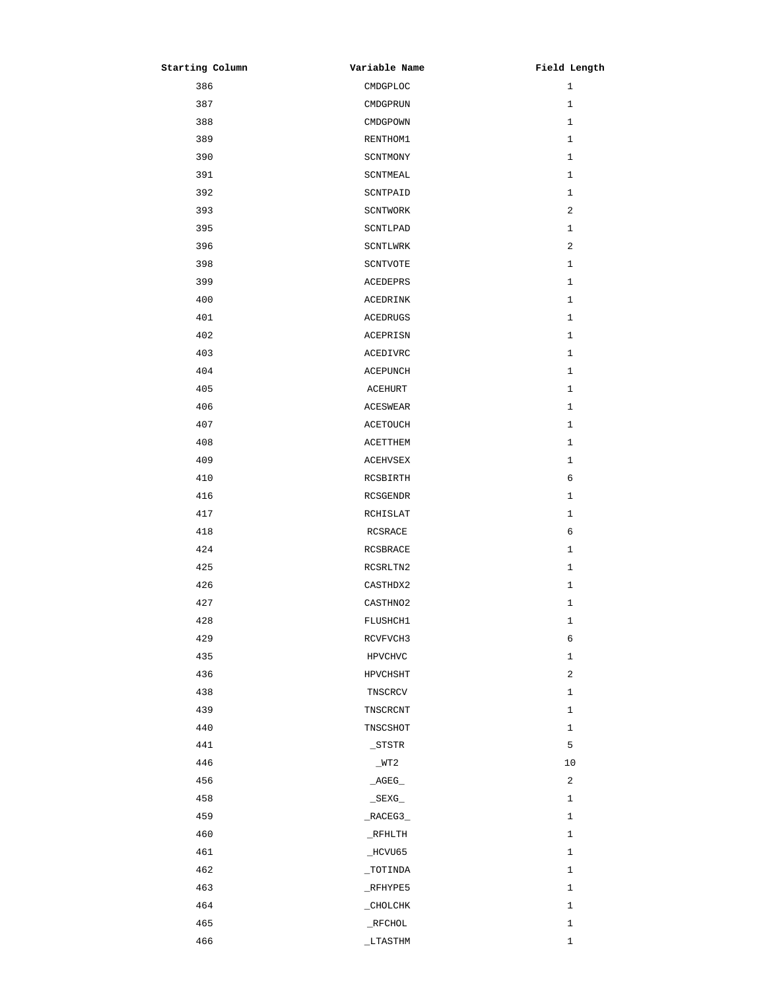| Starting Column | Variable Name       | Field Length   |
|-----------------|---------------------|----------------|
| 386             | CMDGPLOC            | $\mathbf{1}$   |
| 387             | CMDGPRUN            | 1              |
| 388             | CMDGPOWN            | $\mathbf{1}$   |
| 389             | RENTHOM1            | $\mathbf{1}$   |
| 390             | SCNTMONY            | $\mathbf{1}$   |
| 391             | SCNTMEAL            | $\mathbf{1}$   |
| 392             | SCNTPAID            | $\mathbf{1}$   |
| 393             | SCNTWORK            | 2              |
| 395             | SCNTLPAD            | $\mathbf{1}$   |
| 396             | SCNTLWRK            | $\overline{a}$ |
| 398             | SCNTVOTE            | $\mathbf{1}$   |
| 399             | ACEDEPRS            | $\mathbf{1}$   |
| 400             | ACEDRINK            | $\mathbf{1}$   |
| 401             | ACEDRUGS            | $\mathbf{1}$   |
| 402             | ACEPRISN            | $\mathbf{1}$   |
| 403             | <b>ACEDIVRC</b>     | $\mathbf{1}$   |
| 404             | <b>ACEPUNCH</b>     | $\mathbf{1}$   |
| 405             | ACEHURT             | $\mathbf{1}$   |
| 406             | ACESWEAR            | 1              |
| 407             | ACETOUCH            | $\mathbf{1}$   |
| 408             | ACETTHEM            | $\mathbf{1}$   |
| 409             | ACEHVSEX            | $\mathbf{1}$   |
| 410             | RCSBIRTH            | 6              |
| 416             | RCSGENDR            | $\mathbf{1}$   |
| 417             | RCHISLAT            | $\mathbf{1}$   |
| 418             | RCSRACE             | 6              |
| 424             | RCSBRACE            | $\mathbf{1}$   |
| 425             | RCSRLTN2            | $\mathbf{1}$   |
| 426             | CASTHDX2            | $\mathbf{1}$   |
| 427             | CASTHNO2            | $\mathbf 1$    |
| 428             | FLUSHCH1            | $1\,$          |
| 429             | RCVFVCH3            | $\epsilon$     |
| 435             | HPVCHVC             | $\mathbf{1}$   |
| 436             | HPVCHSHT            | $\sqrt{2}$     |
| 438             | TNSCRCV             | $\mathbf{1}$   |
| 439             | TNSCRCNT            | $\mathbf{1}$   |
| 440             | TNSCSHOT            | $\mathbf{1}$   |
| 441             | $\_{\tt STSTR}$     | 5              |
| 446             | $_WT2$              | 10             |
| 456             | $\_AGEG$            | 2              |
| 458             | $\_$ SEXG $\_$      | $\mathbf{1}$   |
| 459             | $\_RACEG3$          | $\mathbf{1}$   |
| 460             | $_R$ FHLTH          | $\mathbf{1}$   |
| 461             | $\_$ HCVU65         | $\mathbf{1}$   |
| 462             | $\_{{\tt TOTINDA}}$ | 1              |
| 463             | $_K$ FHYPE5         | $\mathbf{1}$   |
| 464             | $\_$ CHOLCHK        | $\mathbf{1}$   |
| 465             | $\_$ RFCHOL         | $\mathbf 1$    |
| 466             | $_L$ TASTHM         | $\mathbf 1$    |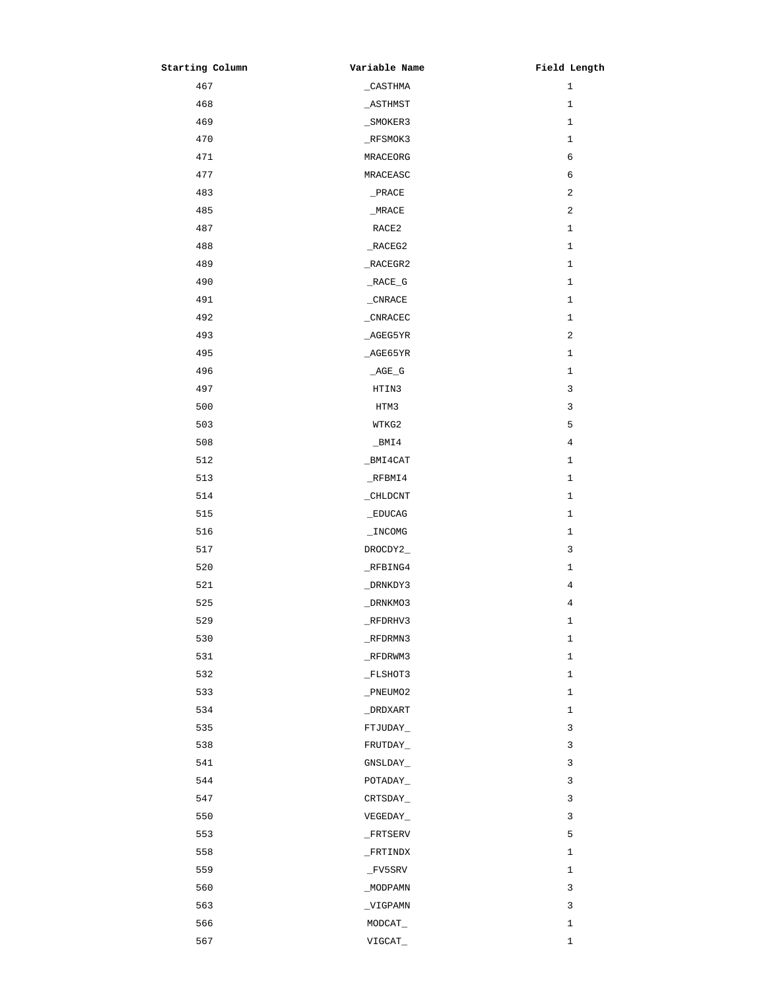| Starting Column | Variable Name                                     | Field Length   |
|-----------------|---------------------------------------------------|----------------|
| 467             | $\_$ CASTHMA                                      | $\mathbf{1}$   |
| 468             | $\_$ ASTHMST                                      | $\mathbf{1}$   |
| 469             | _SMOKER3                                          | $\mathbf{1}$   |
| 470             | $_K$ FSMOK3                                       | $\mathbf{1}$   |
| 471             | MRACEORG                                          | 6              |
| 477             | MRACEASC                                          | 6              |
| 483             | PRACE                                             | $\sqrt{2}$     |
| 485             | $_MRACE$                                          | 2              |
| 487             | RACE <sub>2</sub>                                 | $\mathbf{1}$   |
| 488             | $\_RACEG2$                                        | $\mathbf{1}$   |
| 489             | $\_RACES2$                                        | $\mathbf{1}$   |
| 490             | RACE_G                                            | $\mathbf{1}$   |
| 491             | $\mathop{\rule[0pt]{.5pt}{1pt}\text{\it CNRACE}}$ | $\mathbf{1}$   |
| 492             | $_CNRACEC$                                        | $\mathbf{1}$   |
| 493             | AGEG5YR                                           | $\sqrt{2}$     |
| 495             | $\_AGE65YR$                                       | $\mathbf{1}$   |
| 496             | $\_AGE\_G$                                        | $\mathbf{1}$   |
| 497             | HTIN3                                             | $\mathsf 3$    |
| 500             | HTM3                                              | 3              |
| 503             | WTKG2                                             | 5              |
| 508             | $\_$ BMI4                                         | $\overline{4}$ |
| 512             | _BMI4CAT                                          | $\mathbf{1}$   |
| 513             | $_K$ FBMI4                                        | $\mathbf{1}$   |
| 514             | _CHLDCNT                                          | $\mathbf{1}$   |
| 515             | $\_EDUCAG$                                        | 1              |
| 516             | $\_$ INCOMG                                       | $\mathbf{1}$   |
| 517             | DROCDY2_                                          | $\mathsf{3}$   |
| 520             | RFBING4                                           | $\mathbf{1}$   |
| 521             | _DRNKDY3                                          | 4              |
| 525             | $\_DRNKMO3$                                       | $\overline{4}$ |
| 529             | $_RFDRHV3$                                        | 1              |
| 530             | $_R$ FDRMN3                                       | $1\,$          |
| 531             | $_R$ FDRWM3                                       | $\mathbf{1}$   |
| 532             | $_F$ LSHOT3                                       | $\mathbf{1}$   |
| 533             | _PNEUMO2                                          | $\mathbf{1}$   |
| 534             | $\_$ DRDXART                                      | $1\,$          |
| 535             | FTJUDAY_                                          | 3              |
| 538             | FRUTDAY_                                          | $\mathsf 3$    |
| 541             | GNSLDAY_                                          | $\mathsf 3$    |
| 544             | POTADAY_                                          | $\mathsf 3$    |
| 547             | CRTSDAY_                                          | $\mathsf 3$    |
| 550             | VEGEDAY_                                          | 3              |
| 553             | $\_$ FRTSERV                                      | 5              |
| 558             | _FRTINDX                                          | $\mathbf{1}$   |
| 559             | $_F$ v5SRV                                        | 1              |
| 560             | _MODPAMN                                          | 3              |
| 563             | _VIGPAMN                                          | 3              |
| 566             | MODCAT_                                           | $\mathbf 1$    |
| 567             | VIGCAT_                                           | $1\,$          |